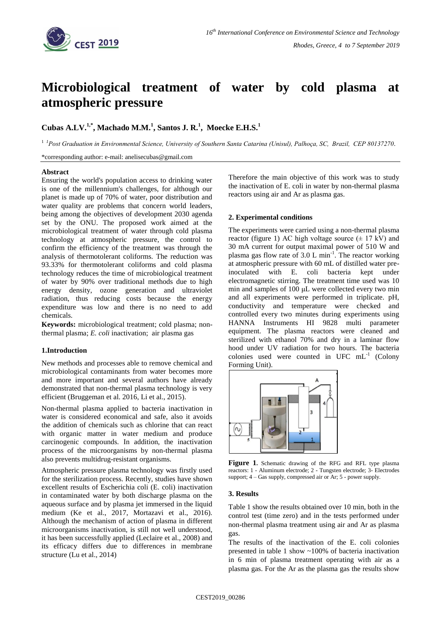

# **Microbiological treatment of water by cold plasma at atmospheric pressure**

**Cubas A.LV.1,\* , Machado M.M.<sup>1</sup> , Santos J. R.<sup>1</sup> , Moecke E.H.S. 1**

<sup>1</sup> *<sup>1</sup>Post Graduation in Environmental Science, University of Southern Santa Catarina (Unisul), Palhoça, SC, Brazil, CEP 80137270.*

\*corresponding author: e-mail: anelisecubas@gmail.com

### **Abstract**

Ensuring the world's population access to drinking water is one of the millennium's challenges, for although our planet is made up of 70% of water, poor distribution and water quality are problems that concern world leaders, being among the objectives of development 2030 agenda set by the ONU. The proposed work aimed at the microbiological treatment of water through cold plasma technology at atmospheric pressure, the control to confirm the efficiency of the treatment was through the analysis of thermotolerant coliforms. The reduction was 93.33% for thermotolerant coliforms and cold plasma technology reduces the time of microbiological treatment of water by 90% over traditional methods due to high energy density, ozone generation and ultraviolet radiation, thus reducing costs because the energy expenditure was low and there is no need to add chemicals.

**Keywords:** microbiological treatment; cold plasma; nonthermal plasma; *E. coli* inactivation; air plasma gas

# **1.Introduction**

New methods and processes able to remove chemical and microbiological contaminants from water becomes more and more important and several authors have already demonstrated that non-thermal plasma technology is very efficient (Bruggeman et al. 2016, Li et al., 2015).

Non-thermal plasma applied to bacteria inactivation in water is considered economical and safe, also it avoids the addition of chemicals such as chlorine that can react with organic matter in water medium and produce carcinogenic compounds. In addition, the inactivation process of the microorganisms by non-thermal plasma also prevents multidrug-resistant organisms.

Atmospheric pressure plasma technology was firstly used for the sterilization process. Recently, studies have shown excellent results of Escherichia coli (E. coli) inactivation in contaminated water by both discharge plasma on the aqueous surface and by plasma jet immersed in the liquid medium (Ke et al., 2017, Mortazavi et al., 2016). Although the mechanism of action of plasma in different microorganisms inactivation, is still not well understood, it has been successfully applied (Leclaire et al., 2008) and its efficacy differs due to differences in membrane structure (Lu et al., 2014)

Therefore the main objective of this work was to study the inactivation of E. coli in water by non-thermal plasma reactors using air and Ar as plasma gas.

### **2. Experimental conditions**

The experiments were carried using a non-thermal plasma reactor (figure 1) AC high voltage source  $(\pm 17 \text{ kV})$  and 30 mA current for output maximal power of 510 W and plasma gas flow rate of  $3.0 \text{ L min}^{-1}$ . The reactor working at atmospheric pressure with 60 mL of distilled water preinoculated with E. coli bacteria kept under electromagnetic stirring. The treatment time used was 10 min and samples of 100 μL were collected every two min and all experiments were performed in triplicate. pH, conductivity and temperature were checked and controlled every two minutes during experiments using HANNA Instruments HI 9828 multi parameter equipment. The plasma reactors were cleaned and sterilized with ethanol 70% and dry in a laminar flow hood under UV radiation for two hours. The bacteria colonies used were counted in UFC  $mL^{-1}$  (Colony Forming Unit).



**Figure 1.** Schematic drawing of the RFG and RFL type plasma reactors: 1 - Aluminum electrode; 2 - Tungsten electrode; 3- Electrodes support; 4 – Gas supply, compressed air or Ar; 5 - power supply.

#### **3. Results**

Table 1 show the results obtained over 10 min, both in the control test (time zero) and in the tests performed under non-thermal plasma treatment using air and Ar as plasma gas.

The results of the inactivation of the E. coli colonies presented in table 1 show ~100% of bacteria inactivation in 6 min of plasma treatment operating with air as a plasma gas. For the Ar as the plasma gas the results show